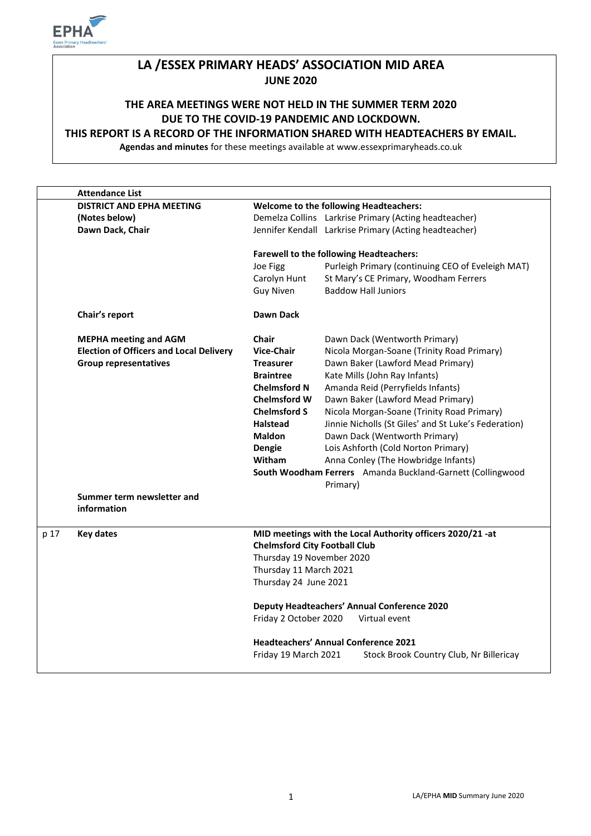

# **LA /ESSEX PRIMARY HEADS' ASSOCIATION MID AREA JUNE 2020**

# **THE AREA MEETINGS WERE NOT HELD IN THE SUMMER TERM 2020 DUE TO THE COVID-19 PANDEMIC AND LOCKDOWN.**

#### **THIS REPORT IS A RECORD OF THE INFORMATION SHARED WITH HEADTEACHERS BY EMAIL.**

**Agendas and minutes** for these meetings available at www.essexprimaryheads.co.uk

|      | <b>Attendance List</b>                         |                                                            |                                                            |  |
|------|------------------------------------------------|------------------------------------------------------------|------------------------------------------------------------|--|
|      | <b>DISTRICT AND EPHA MEETING</b>               | <b>Welcome to the following Headteachers:</b>              |                                                            |  |
|      | (Notes below)                                  |                                                            | Demelza Collins Larkrise Primary (Acting headteacher)      |  |
|      | Dawn Dack, Chair                               |                                                            | Jennifer Kendall Larkrise Primary (Acting headteacher)     |  |
|      |                                                | <b>Farewell to the following Headteachers:</b>             |                                                            |  |
|      |                                                | Joe Figg                                                   | Purleigh Primary (continuing CEO of Eveleigh MAT)          |  |
|      |                                                | Carolyn Hunt                                               | St Mary's CE Primary, Woodham Ferrers                      |  |
|      |                                                | <b>Guy Niven</b>                                           | <b>Baddow Hall Juniors</b>                                 |  |
|      | Chair's report                                 | Dawn Dack                                                  |                                                            |  |
|      | <b>MEPHA meeting and AGM</b>                   | <b>Chair</b>                                               | Dawn Dack (Wentworth Primary)                              |  |
|      | <b>Election of Officers and Local Delivery</b> | <b>Vice-Chair</b>                                          | Nicola Morgan-Soane (Trinity Road Primary)                 |  |
|      | <b>Group representatives</b>                   | <b>Treasurer</b>                                           | Dawn Baker (Lawford Mead Primary)                          |  |
|      |                                                | <b>Braintree</b>                                           | Kate Mills (John Ray Infants)                              |  |
|      |                                                | <b>Chelmsford N</b>                                        | Amanda Reid (Perryfields Infants)                          |  |
|      |                                                | <b>Chelmsford W</b>                                        | Dawn Baker (Lawford Mead Primary)                          |  |
|      |                                                | <b>Chelmsford S</b>                                        | Nicola Morgan-Soane (Trinity Road Primary)                 |  |
|      |                                                | <b>Halstead</b>                                            | Jinnie Nicholls (St Giles' and St Luke's Federation)       |  |
|      |                                                | <b>Maldon</b>                                              | Dawn Dack (Wentworth Primary)                              |  |
|      |                                                | Dengie                                                     | Lois Ashforth (Cold Norton Primary)                        |  |
|      |                                                | <b>Witham</b>                                              | Anna Conley (The Howbridge Infants)                        |  |
|      |                                                |                                                            | South Woodham Ferrers Amanda Buckland-Garnett (Collingwood |  |
|      |                                                |                                                            | Primary)                                                   |  |
|      | Summer term newsletter and<br>information      |                                                            |                                                            |  |
| p 17 | <b>Key dates</b>                               | MID meetings with the Local Authority officers 2020/21 -at |                                                            |  |
|      |                                                | <b>Chelmsford City Football Club</b>                       |                                                            |  |
|      |                                                |                                                            | Thursday 19 November 2020                                  |  |
|      |                                                |                                                            | Thursday 11 March 2021                                     |  |
|      |                                                | Thursday 24 June 2021                                      |                                                            |  |
|      |                                                |                                                            | Deputy Headteachers' Annual Conference 2020                |  |
|      |                                                | Friday 2 October 2020                                      | Virtual event                                              |  |
|      |                                                |                                                            | <b>Headteachers' Annual Conference 2021</b>                |  |
|      |                                                | Friday 19 March 2021                                       | Stock Brook Country Club, Nr Billericay                    |  |
|      |                                                |                                                            |                                                            |  |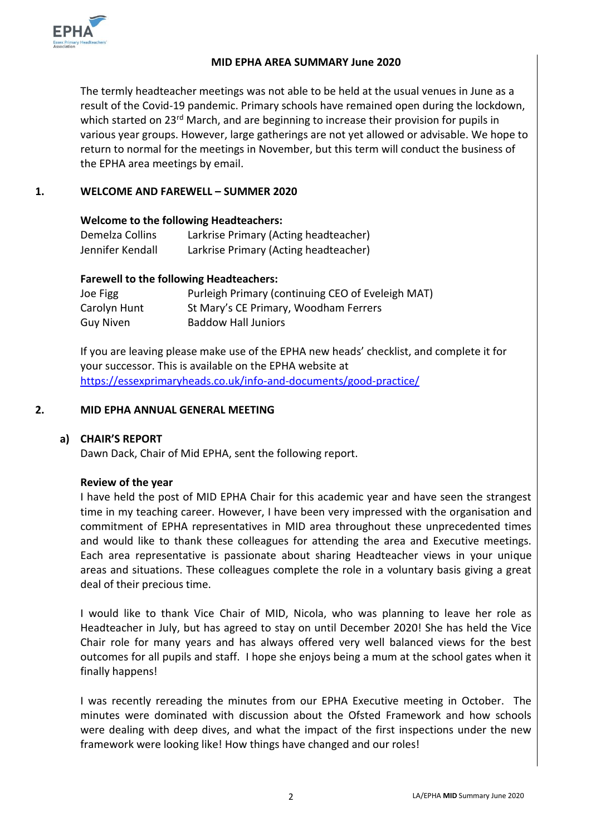

#### **MID EPHA AREA SUMMARY June 2020**

The termly headteacher meetings was not able to be held at the usual venues in June as a result of the Covid-19 pandemic. Primary schools have remained open during the lockdown, which started on 23<sup>rd</sup> March, and are beginning to increase their provision for pupils in various year groups. However, large gatherings are not yet allowed or advisable. We hope to return to normal for the meetings in November, but this term will conduct the business of the EPHA area meetings by email.

## **1. WELCOME AND FAREWELL – SUMMER 2020**

#### **Welcome to the following Headteachers:**

| Demelza Collins  | Larkrise Primary (Acting headteacher) |
|------------------|---------------------------------------|
| Jennifer Kendall | Larkrise Primary (Acting headteacher) |

#### **Farewell to the following Headteachers:**

| Joe Figg     | Purleigh Primary (continuing CEO of Eveleigh MAT) |
|--------------|---------------------------------------------------|
| Carolyn Hunt | St Mary's CE Primary, Woodham Ferrers             |
| Guy Niven    | <b>Baddow Hall Juniors</b>                        |

If you are leaving please make use of the EPHA new heads' checklist, and complete it for your successor. This is available on the EPHA website at <https://essexprimaryheads.co.uk/info-and-documents/good-practice/>

#### **2. MID EPHA ANNUAL GENERAL MEETING**

## **a) CHAIR'S REPORT**

Dawn Dack, Chair of Mid EPHA, sent the following report.

#### **Review of the year**

I have held the post of MID EPHA Chair for this academic year and have seen the strangest time in my teaching career. However, I have been very impressed with the organisation and commitment of EPHA representatives in MID area throughout these unprecedented times and would like to thank these colleagues for attending the area and Executive meetings. Each area representative is passionate about sharing Headteacher views in your unique areas and situations. These colleagues complete the role in a voluntary basis giving a great deal of their precious time.

I would like to thank Vice Chair of MID, Nicola, who was planning to leave her role as Headteacher in July, but has agreed to stay on until December 2020! She has held the Vice Chair role for many years and has always offered very well balanced views for the best outcomes for all pupils and staff. I hope she enjoys being a mum at the school gates when it finally happens!

I was recently rereading the minutes from our EPHA Executive meeting in October. The minutes were dominated with discussion about the Ofsted Framework and how schools were dealing with deep dives, and what the impact of the first inspections under the new framework were looking like! How things have changed and our roles!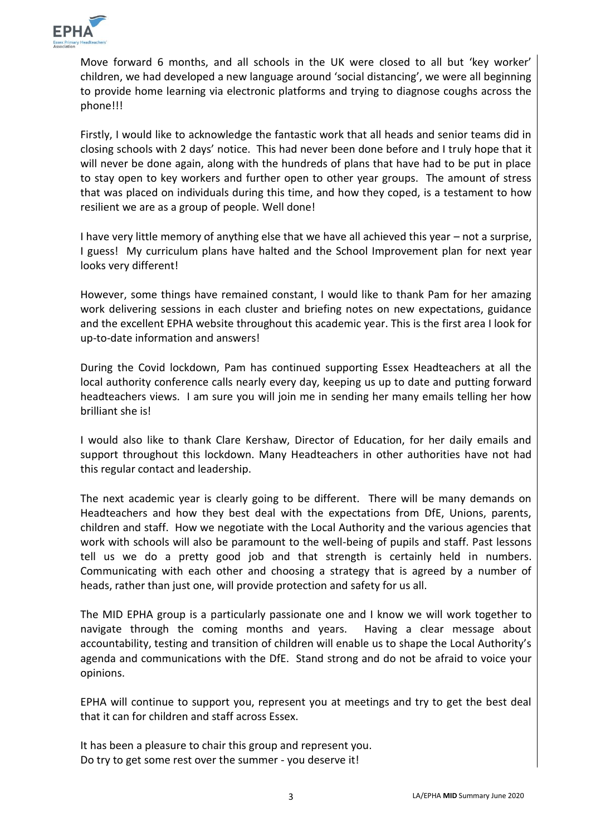

Move forward 6 months, and all schools in the UK were closed to all but 'key worker' children, we had developed a new language around 'social distancing', we were all beginning to provide home learning via electronic platforms and trying to diagnose coughs across the phone!!!

Firstly, I would like to acknowledge the fantastic work that all heads and senior teams did in closing schools with 2 days' notice. This had never been done before and I truly hope that it will never be done again, along with the hundreds of plans that have had to be put in place to stay open to key workers and further open to other year groups. The amount of stress that was placed on individuals during this time, and how they coped, is a testament to how resilient we are as a group of people. Well done!

I have very little memory of anything else that we have all achieved this year – not a surprise, I guess! My curriculum plans have halted and the School Improvement plan for next year looks very different!

However, some things have remained constant, I would like to thank Pam for her amazing work delivering sessions in each cluster and briefing notes on new expectations, guidance and the excellent EPHA website throughout this academic year. This is the first area I look for up-to-date information and answers!

During the Covid lockdown, Pam has continued supporting Essex Headteachers at all the local authority conference calls nearly every day, keeping us up to date and putting forward headteachers views. I am sure you will join me in sending her many emails telling her how brilliant she is!

I would also like to thank Clare Kershaw, Director of Education, for her daily emails and support throughout this lockdown. Many Headteachers in other authorities have not had this regular contact and leadership.

The next academic year is clearly going to be different. There will be many demands on Headteachers and how they best deal with the expectations from DfE, Unions, parents, children and staff. How we negotiate with the Local Authority and the various agencies that work with schools will also be paramount to the well-being of pupils and staff. Past lessons tell us we do a pretty good job and that strength is certainly held in numbers. Communicating with each other and choosing a strategy that is agreed by a number of heads, rather than just one, will provide protection and safety for us all.

The MID EPHA group is a particularly passionate one and I know we will work together to navigate through the coming months and years. Having a clear message about accountability, testing and transition of children will enable us to shape the Local Authority's agenda and communications with the DfE. Stand strong and do not be afraid to voice your opinions.

EPHA will continue to support you, represent you at meetings and try to get the best deal that it can for children and staff across Essex.

It has been a pleasure to chair this group and represent you. Do try to get some rest over the summer - you deserve it!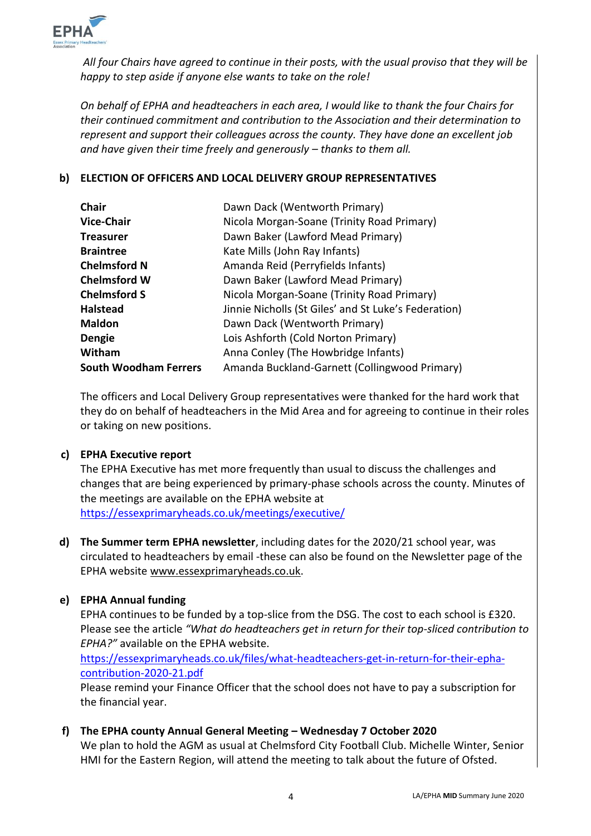

*All four Chairs have agreed to continue in their posts, with the usual proviso that they will be happy to step aside if anyone else wants to take on the role!* 

*On behalf of EPHA and headteachers in each area, I would like to thank the four Chairs for their continued commitment and contribution to the Association and their determination to represent and support their colleagues across the county. They have done an excellent job and have given their time freely and generously – thanks to them all.* 

# **b) ELECTION OF OFFICERS AND LOCAL DELIVERY GROUP REPRESENTATIVES**

| <b>Chair</b>                 | Dawn Dack (Wentworth Primary)                        |
|------------------------------|------------------------------------------------------|
| <b>Vice-Chair</b>            | Nicola Morgan-Soane (Trinity Road Primary)           |
| <b>Treasurer</b>             | Dawn Baker (Lawford Mead Primary)                    |
| <b>Braintree</b>             | Kate Mills (John Ray Infants)                        |
| <b>Chelmsford N</b>          | Amanda Reid (Perryfields Infants)                    |
| <b>Chelmsford W</b>          | Dawn Baker (Lawford Mead Primary)                    |
| <b>Chelmsford S</b>          | Nicola Morgan-Soane (Trinity Road Primary)           |
| <b>Halstead</b>              | Jinnie Nicholls (St Giles' and St Luke's Federation) |
| <b>Maldon</b>                | Dawn Dack (Wentworth Primary)                        |
| <b>Dengie</b>                | Lois Ashforth (Cold Norton Primary)                  |
| Witham                       | Anna Conley (The Howbridge Infants)                  |
| <b>South Woodham Ferrers</b> | Amanda Buckland-Garnett (Collingwood Primary)        |

The officers and Local Delivery Group representatives were thanked for the hard work that they do on behalf of headteachers in the Mid Area and for agreeing to continue in their roles or taking on new positions.

# **c) EPHA Executive report**

The EPHA Executive has met more frequently than usual to discuss the challenges and changes that are being experienced by primary-phase schools across the county. Minutes of the meetings are available on the EPHA website at <https://essexprimaryheads.co.uk/meetings/executive/>

**d) The Summer term EPHA newsletter**, including dates for the 2020/21 school year, was circulated to headteachers by email -these can also be found on the Newsletter page of the EPHA website [www.essexprimaryheads.co.uk.](http://www.essexprimaryheads.co.uk/)

# **e) EPHA Annual funding**

EPHA continues to be funded by a top-slice from the DSG. The cost to each school is £320. Please see the article *"What do headteachers get in return for their top-sliced contribution to EPHA?"* available on the EPHA website.

[https://essexprimaryheads.co.uk/files/what-headteachers-get-in-return-for-their-epha](https://essexprimaryheads.co.uk/files/what-headteachers-get-in-return-for-their-epha-contribution-2020-21.pdf)[contribution-2020-21.pdf](https://essexprimaryheads.co.uk/files/what-headteachers-get-in-return-for-their-epha-contribution-2020-21.pdf)

Please remind your Finance Officer that the school does not have to pay a subscription for the financial year.

**f) The EPHA county Annual General Meeting – Wednesday 7 October 2020**

We plan to hold the AGM as usual at Chelmsford City Football Club. Michelle Winter, Senior HMI for the Eastern Region, will attend the meeting to talk about the future of Ofsted.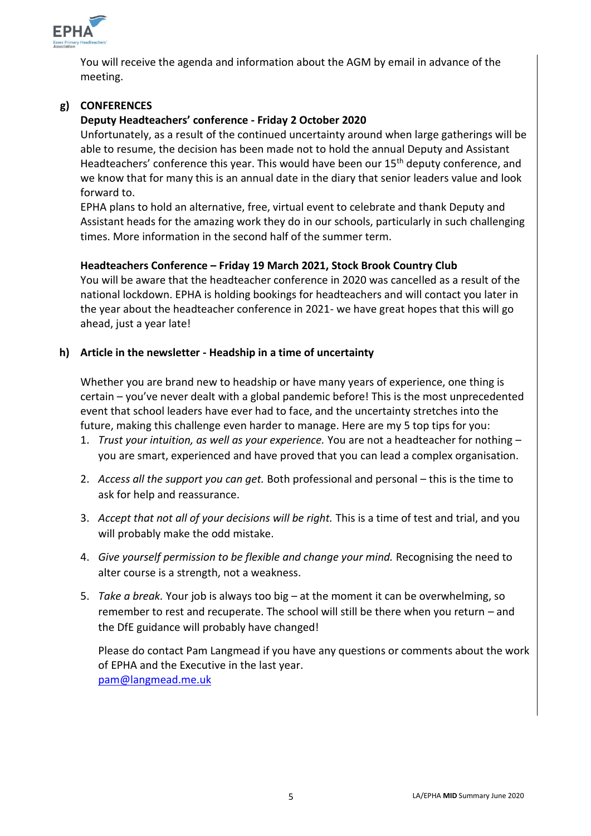

You will receive the agenda and information about the AGM by email in advance of the meeting.

# **g) CONFERENCES**

# **Deputy Headteachers' conference - Friday 2 October 2020**

Unfortunately, as a result of the continued uncertainty around when large gatherings will be able to resume, the decision has been made not to hold the annual Deputy and Assistant Headteachers' conference this year. This would have been our 15<sup>th</sup> deputy conference, and we know that for many this is an annual date in the diary that senior leaders value and look forward to.

EPHA plans to hold an alternative, free, virtual event to celebrate and thank Deputy and Assistant heads for the amazing work they do in our schools, particularly in such challenging times. More information in the second half of the summer term.

#### **Headteachers Conference – Friday 19 March 2021, Stock Brook Country Club**

You will be aware that the headteacher conference in 2020 was cancelled as a result of the national lockdown. EPHA is holding bookings for headteachers and will contact you later in the year about the headteacher conference in 2021- we have great hopes that this will go ahead, just a year late!

#### **h) Article in the newsletter - Headship in a time of uncertainty**

Whether you are brand new to headship or have many years of experience, one thing is certain – you've never dealt with a global pandemic before! This is the most unprecedented event that school leaders have ever had to face, and the uncertainty stretches into the future, making this challenge even harder to manage. Here are my 5 top tips for you:

- 1. *Trust your intuition, as well as your experience.* You are not a headteacher for nothing you are smart, experienced and have proved that you can lead a complex organisation.
- 2. *Access all the support you can get.* Both professional and personal this is the time to ask for help and reassurance.
- 3. *Accept that not all of your decisions will be right.* This is a time of test and trial, and you will probably make the odd mistake.
- 4. *Give yourself permission to be flexible and change your mind.* Recognising the need to alter course is a strength, not a weakness.
- 5. *Take a break.* Your job is always too big at the moment it can be overwhelming, so remember to rest and recuperate. The school will still be there when you return – and the DfE guidance will probably have changed!

Please do contact Pam Langmead if you have any questions or comments about the work of EPHA and the Executive in the last year. [pam@langmead.me.uk](mailto:pam@langmead.me.uk)